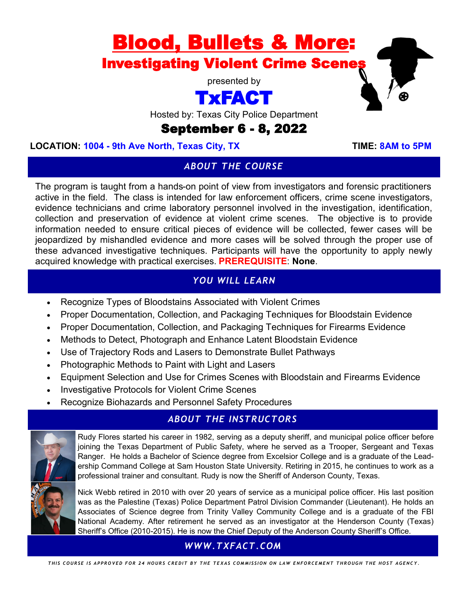# **Blood, Bullets & More:**<br>Investigating Violent Crime Scenes

presented by

## TxFACT

Hosted by: Texas City Police Department

### September 6 - 8, 2022

#### LOCATION: 1004 - 9th Ave North, Texas City, TX TIME: 8AM to 5PM

#### *ABOUT THE COURSE*

The program is taught from a hands-on point of view from investigators and forensic practitioners active in the field. The class is intended for law enforcement officers, crime scene investigators, evidence technicians and crime laboratory personnel involved in the investigation, identification, collection and preservation of evidence at violent crime scenes. The objective is to provide information needed to ensure critical pieces of evidence will be collected, fewer cases will be jeopardized by mishandled evidence and more cases will be solved through the proper use of these advanced investigative techniques. Participants will have the opportunity to apply newly acquired knowledge with practical exercises. **PREREQUISITE**: **None**.

#### *YOU WILL LEARN*

- Recognize Types of Bloodstains Associated with Violent Crimes
- Proper Documentation, Collection, and Packaging Techniques for Bloodstain Evidence
- Proper Documentation, Collection, and Packaging Techniques for Firearms Evidence
- Methods to Detect, Photograph and Enhance Latent Bloodstain Evidence
- Use of Trajectory Rods and Lasers to Demonstrate Bullet Pathways
- Photographic Methods to Paint with Light and Lasers
- Equipment Selection and Use for Crimes Scenes with Bloodstain and Firearms Evidence
- Investigative Protocols for Violent Crime Scenes
- Recognize Biohazards and Personnel Safety Procedures

#### *ABOUT THE INSTRUCTORS*



Rudy Flores started his career in 1982, serving as a deputy sheriff, and municipal police officer before joining the Texas Department of Public Safety, where he served as a Trooper, Sergeant and Texas Ranger. He holds a Bachelor of Science degree from Excelsior College and is a graduate of the Leadership Command College at Sam Houston State University. Retiring in 2015, he continues to work as a professional trainer and consultant. Rudy is now the Sheriff of Anderson County, Texas.

Nick Webb retired in 2010 with over 20 years of service as a municipal police officer. His last position was as the Palestine (Texas) Police Department Patrol Division Commander (Lieutenant). He holds an Associates of Science degree from Trinity Valley Community College and is a graduate of the FBI National Academy. After retirement he served as an investigator at the Henderson County (Texas) Sheriff's Office (2010-2015). He is now the Chief Deputy of the Anderson County Sheriff's Office.

#### *WWW.TXFACT.COM*

THIS COURSE IS APPROVED FOR 24 HOURS CREDIT BY THE TEXAS COMMISSION ON LAW ENFORCEMENT THROUGH THE HOST AGENCY.